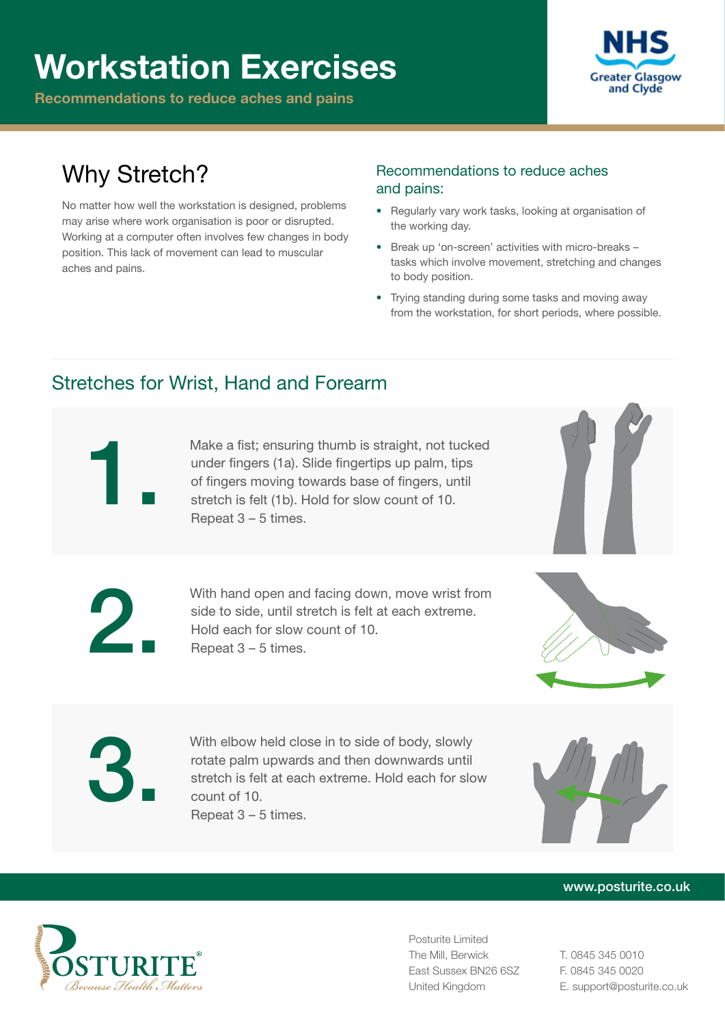# Workstation Exercises

Recommendations to reduce aches and pains



# Why Stretch?

No matter how well the workstation is designed, problems may arise where work organisation is poor or disrupted. Working at a computer often involves few changes in body position. This lack of movement can lead to muscular aches and pains.

### Recommendations to reduce aches and pains:

- Regularly vary work tasks, looking at organisation of the working day.
- Break up 'on-screen' activities with micro-breaks tasks which involve movement, stretching and changes to body position.
- Trying standing during some tasks and moving away from the workstation, for short periods, where possible.

# Stretches for Wrist, Hand and Forearm

Make a fist; ensuring thumb is straight, not tucked under fingers (1a). Slide fingertips up palm, tips of fingers moving towards base of fingers, until stretch is felt (1b). Hold for slow count of 10. Repeat 3 – 5 times.



With hand open and facing down, move wrist from side to side, until stretch is felt at each extreme. Hold each for slow count of 10. Repeat 3 – 5 times.



With elbow held close in to side of body, slowly<br>rotate palm upwards and then downwards until<br>stretch is felt at each extreme. Hold each for slo<br>count of 10.<br>Repeat 3 – 5 times. rotate palm upwards and then downwards until stretch is felt at each extreme. Hold each for slow count of 10. Repeat 3 – 5 times.



#### www.posturite.co.uk



Posturite Limited The Mill, Berwick East Sussex BN26 6SZ United Kingdom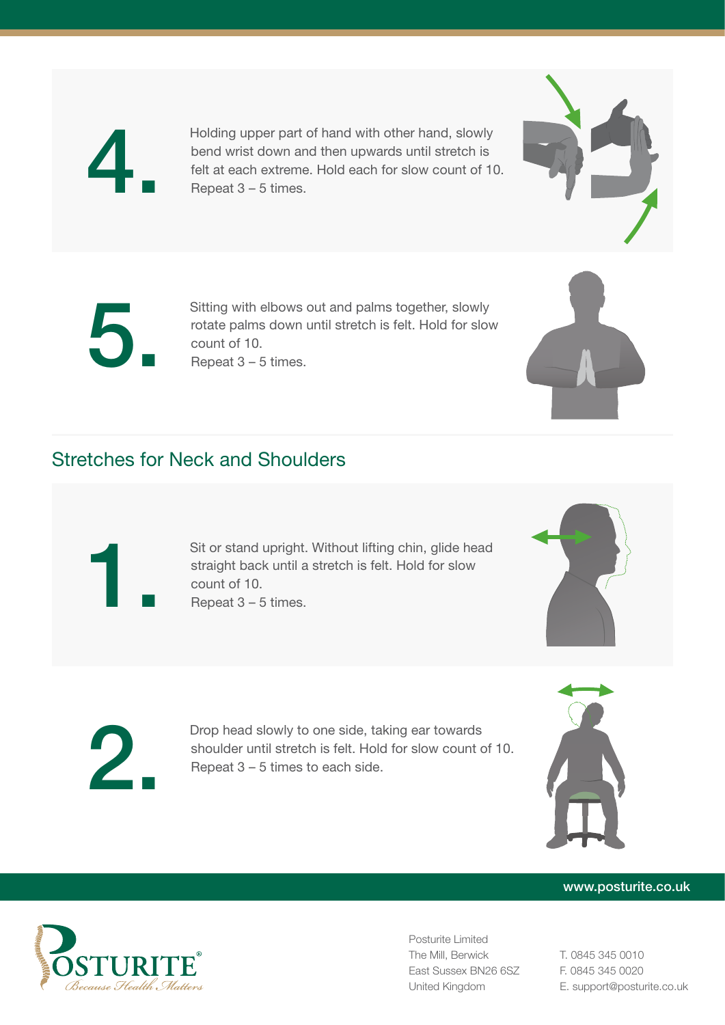

4. Holding upper part of hand with other hand, slowly bend wrist down and then upwards until stretch is felt at each extreme. Hold each for slow count of 10. Repeat 3 – 5 times.



Sitting with elbows out and palms together, slowly<br>rotate palms down until stretch is felt. Hold for slow<br>count of 10. rotate palms down until stretch is felt. Hold for slow count of 10. Repeat 3 – 5 times.

## Stretches for Neck and Shoulders

Sit or stand upright. Without lifting chin, glide head straight back until a stretch is felt. Hold for slow count of 10. Repeat 3 – 5 times.



Drop head slowly to one side, taking ear towards<br>shoulder until stretch is felt. Hold for slow count of<br>Repeat 3 – 5 times to each side. shoulder until stretch is felt. Hold for slow count of 10. Repeat 3 – 5 times to each side.



#### www.posturite.co.uk



Posturite Limited The Mill, Berwick East Sussex BN26 6SZ United Kingdom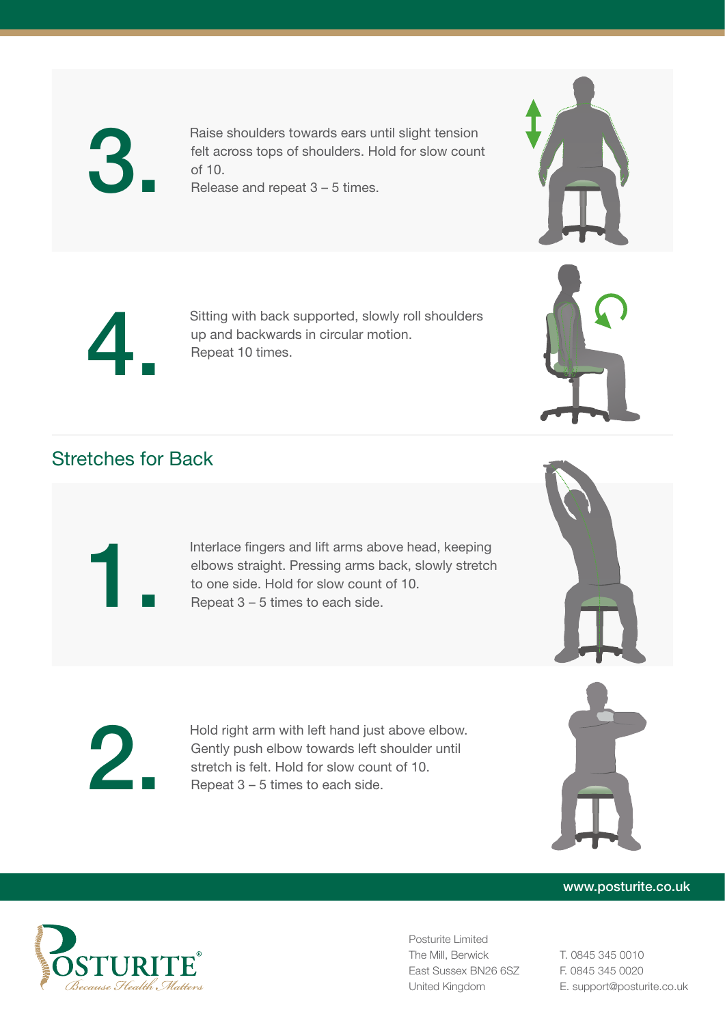

Raise shoulders towards ears until slight tension<br>felt across tops of shoulders. Hold for slow coun<br>of 10. felt across tops of shoulders. Hold for slow count of 10. Release and repeat 3 – 5 times.



Sitting with back supported, slowly roll shoulders up and backwards in circular motion. Repeat 10 times.

# Stretches for Back

Interlace fingers and lift arms above head, keeping<br>elbows straight. Pressing arms back, slowly stretch<br>to one side. Hold for slow count of 10.<br>Repeat 3 – 5 times to each side. elbows straight. Pressing arms back, slowly stretch to one side. Hold for slow count of 10. Repeat 3 – 5 times to each side.







#### www.posturite.co.uk



Posturite Limited The Mill, Berwick East Sussex BN26 6SZ United Kingdom